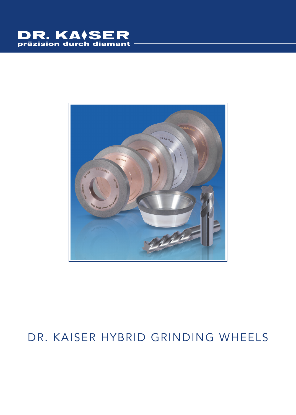# DR. KAISER



## DR. KAISER HYBRID GRINDING WHEELS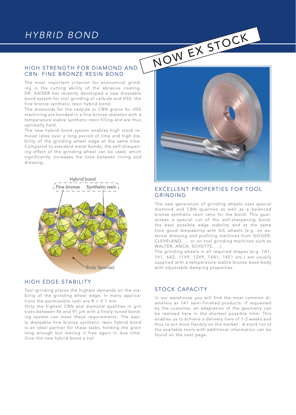#### HIGH STRENGTH FOR DIAMOND AND CBN: FINE BRONZE RESIN BOND

The most important criterion for economical grinding is the cutting ability of the abrasive coating. DR. KAISER has recently developed a new dressable bond system for tool grinding of carbide and HSS: the fine bronze synthetic resin hybrid bond.

The diamonds for the carbide or CBN grains for HSS machining are bonded in a fine bronze skeleton with a temperature-stable synthetic resin filling and are thus optimally held.

The new hybrid bond system enables high stock removal rates over a long period of time and high stability of the grinding wheel edge at the same time. Compared to standard metal bonds, the self-sharpening effect of the grinding wheel can be used, which significantly increases the time between truing and dressing.



#### HIGH EDGE STABILITY

Tool grinding places the highest demands on the stability of the grinding wheel edge. In many applications the permissible radii are  $R < 0.1$  mm.

Only the highest CBN and diamond qualities in grit sizes between 46 and 91 μm with a finely tuned bonding system can meet these requirements. The easily dressable fine bronze synthetic resin hybrid bond is an ideal partner for these tasks, holding the grain long enough but leaving it free again in due time: Give the new hybrid bond a try!



#### EXCELLENT PROPERTIES FOR TOOL GRINDING

The new generation of grinding wheels uses special diamond and CBN qualities as well as a balanced bronze synthetic resin ratio for the bond. This guarantees a special cut of the self-sharpening bond, the best possible edge stability and at the same time good dressability with SiC wheels (e.g. on external dressing and profiling machines from GEIGER, CLEVELAND, ... or on tool grinding machines such as WALTER, ANCA, SCHÜTTE, ...).

The grinding wheels in all required shapes (e.g. 1A1, 1V1, 6A2, 11V9, 12V9, 14A1, 14E1 etc.) are usually supplied with a temperature-stable bronze base body with adjustable damping properties.

#### STOCK CAPACITY

In our warehouse you will find the most common diameters as 1A1 semi-finished products. If requested by the customer, an adaptation of the geometry can be realized here in the shortest possible time. This enables us to achieve a delivery time of 1-2 weeks and thus to act more flexibly on the market. A stock list of the available tools with additional information can be found on the next page.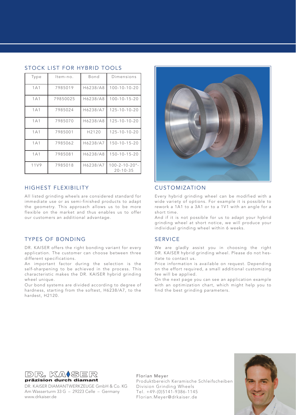| Type             | Item-no. | Bond     | Dimensions                               |  |  |
|------------------|----------|----------|------------------------------------------|--|--|
| 1A1              | 7985019  | H6238/A8 | $100 - 10 - 10 - 20$                     |  |  |
| 1A1              | 79850025 | H6238/A8 | $100 - 10 - 15 - 20$                     |  |  |
| 1A1              | 7985024  | H6238/A7 | $125 - 10 - 10 - 20$                     |  |  |
| 1A1              | 7985070  | H6238/A8 | 125-10-10-20                             |  |  |
| 1A1              | 7985001  | H2120    | 125-10-10-20                             |  |  |
| 1A1              | 7985062  | H6238/A7 | $150 - 10 - 15 - 20$                     |  |  |
| 1A1              | 7985081  | H6238/A8 | $150 - 10 - 15 - 20$                     |  |  |
| 11 <sub>V9</sub> | 7985018  | H6238/A7 | $100 - 2 - 10 - 20$ °-<br>$20 - 10 - 35$ |  |  |

#### STOCK LIST FOR HYBRID TOOLS

#### HIGHEST FLEXIBILITY

All listed grinding wheels are considered standard for immediate use or as semi-finished products to adapt the geometry. This approach allows us to be more flexible on the market and thus enables us to offer our customers an additional advantage.

#### TYPES OF BONDING

DR. KAISER offers the right bonding variant for every application. The customer can choose between three different specifications.

An important factor during the selection is the self-sharpening to be achieved in the process. This characteristic makes the DR. KAISER hybrid grinding wheel unique.

Our bond systems are divided according to degree of hardness, starting from the softest, H6238/A7, to the hardest, H2120.



#### CUSTOMIZATION

Every hybrid grinding wheel can be modified with a wide variety of options. For example it is possible to rework a 1A1 to a 3A1 or to a 1V1 with an angle for a short time.

And if it is not possible for us to adapt your hybrid grinding wheel at short notice, we will produce your individual grinding wheel within 6 weeks.

#### **SERVICE**

We are gladly assist you in choosing the right DR. KAISER hybrid grinding wheel. Please do not hesitate to contact us.

Price information is available on request. Depending on the effort required, a small additional customizing fee will be applied.

On the next page you can see an application example with an optimization chart, which might help you to find the best grinding parameters.



DR. KAISER DIAMANTWERKZEUGE GmbH & Co. KG Am Wasserturm 33 G – 29223 Celle – Germany www.drkaiser.de

Florian Meyer Produktbereich Keramische Schleifscheiben Division Grinding Wheels Tel. +49-(0)5141-9386-1145 Florian.Meyer@drkaiser.de